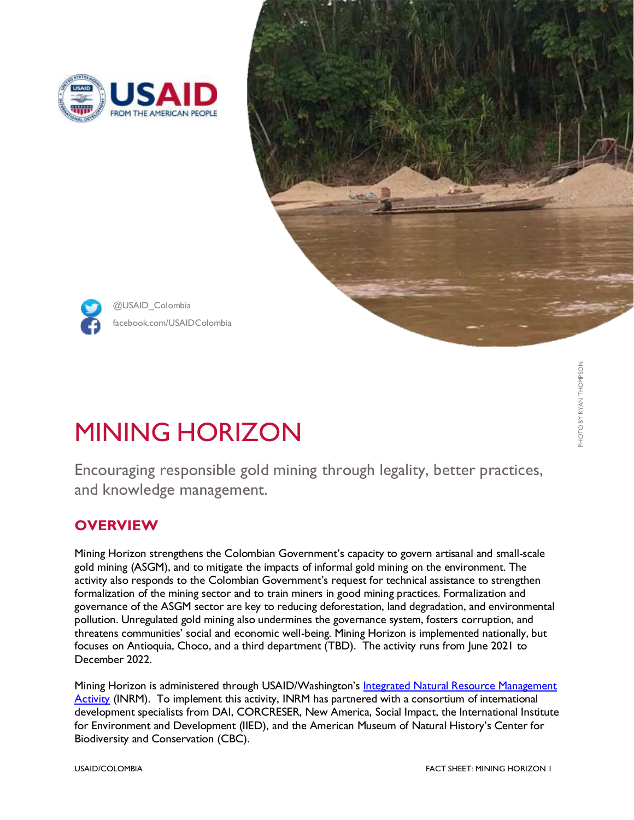





facebook.com/USAIDColombia @USAID\_Colombia

# MINING HORIZON

Encouraging responsible gold mining through legality, better practices, and knowledge management.

## **OVERVIEW**

Mining Horizon strengthens the Colombian Government's capacity to govern artisanal and small-scale gold mining (ASGM), and to mitigate the impacts of informal gold mining on the environment. The activity also responds to the Colombian Government's request for technical assistance to strengthen formalization of the mining sector and to train miners in good mining practices. Formalization and governance of the ASGM sector are key to reducing deforestation, land degradation, and environmental pollution. Unregulated gold mining also undermines the governance system, fosters corruption, and threatens communities' social and economic well-being. Mining Horizon is implemented nationally, but focuses on Antioquia, Choco, and a third department (TBD). The activity runs from June 2021 to December 2022.

Mining Horizon is administered through USAID/Washington's [Integrated Natural Resource Management](https://land-links.org/project/integrated-natural-resource-management-inrm-activity/)  [Activity](https://land-links.org/project/integrated-natural-resource-management-inrm-activity/) (INRM). To implement this activity, INRM has partnered with a consortium of international development specialists from DAI, CORCRESER, New America, Social Impact, the International Institute for Environment and Development (IIED), and the American Museum of Natural History's Center for Biodiversity and Conservation (CBC).

PHOTO BY RYAN THOMPSONPHOTO BY RYAN THOMPSON